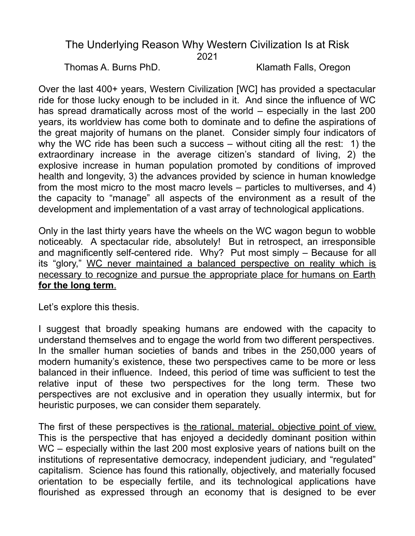## The Underlying Reason Why Western Civilization Is at Risk 2021

Thomas A. Burns PhD. Klamath Falls, Oregon

Over the last 400+ years, Western Civilization [WC] has provided a spectacular ride for those lucky enough to be included in it. And since the influence of WC has spread dramatically across most of the world – especially in the last 200 years, its worldview has come both to dominate and to define the aspirations of the great majority of humans on the planet. Consider simply four indicators of why the WC ride has been such a success – without citing all the rest: 1) the extraordinary increase in the average citizen's standard of living, 2) the explosive increase in human population promoted by conditions of improved health and longevity, 3) the advances provided by science in human knowledge from the most micro to the most macro levels – particles to multiverses, and 4) the capacity to "manage" all aspects of the environment as a result of the development and implementation of a vast array of technological applications.

Only in the last thirty years have the wheels on the WC wagon begun to wobble noticeably. A spectacular ride, absolutely! But in retrospect, an irresponsible and magnificently self-centered ride. Why? Put most simply – Because for all its "glory," WC never maintained a balanced perspective on reality which is necessary to recognize and pursue the appropriate place for humans on Earth  **for the long term**.

Let's explore this thesis.

I suggest that broadly speaking humans are endowed with the capacity to understand themselves and to engage the world from two different perspectives. In the smaller human societies of bands and tribes in the 250,000 years of modern humanity's existence, these two perspectives came to be more or less balanced in their influence. Indeed, this period of time was sufficient to test the relative input of these two perspectives for the long term. These two perspectives are not exclusive and in operation they usually intermix, but for heuristic purposes, we can consider them separately.

The first of these perspectives is the rational, material, objective point of view. This is the perspective that has enjoyed a decidedly dominant position within WC – especially within the last 200 most explosive years of nations built on the institutions of representative democracy, independent judiciary, and "regulated" capitalism. Science has found this rationally, objectively, and materially focused orientation to be especially fertile, and its technological applications have flourished as expressed through an economy that is designed to be ever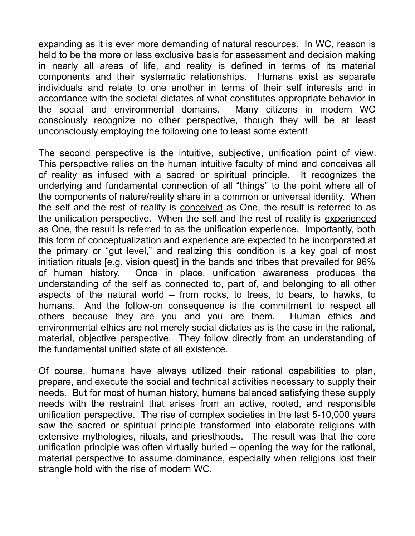expanding as it is ever more demanding of natural resources. In WC, reason is held to be the more or less exclusive basis for assessment and decision making in nearly all areas of life, and reality is defined in terms of its material components and their systematic relationships. Humans exist as separate individuals and relate to one another in terms of their self interests and in accordance with the societal dictates of what constitutes appropriate behavior in the social and environmental domains. Many citizens in modern WC consciously recognize no other perspective, though they will be at least unconsciously employing the following one to least some extent!

The second perspective is the intuitive, subjective, unification point of view. This perspective relies on the human intuitive faculty of mind and conceives all of reality as infused with a sacred or spiritual principle. It recognizes the underlying and fundamental connection of all "things" to the point where all of the components of nature/reality share in a common or universal identity. When the self and the rest of reality is **conceived** as One, the result is referred to as the unification perspective. When the self and the rest of reality is experienced as One, the result is referred to as the unification experience. Importantly, both this form of conceptualization and experience are expected to be incorporated at the primary or "gut level," and realizing this condition is a key goal of most initiation rituals [e.g. vision quest] in the bands and tribes that prevailed for 96% of human history. Once in place, unification awareness produces the understanding of the self as connected to, part of, and belonging to all other aspects of the natural world – from rocks, to trees, to bears, to hawks, to humans. And the follow-on consequence is the commitment to respect all others because they are you and you are them. Human ethics and environmental ethics are not merely social dictates as is the case in the rational, material, objective perspective. They follow directly from an understanding of the fundamental unified state of all existence.

Of course, humans have always utilized their rational capabilities to plan, prepare, and execute the social and technical activities necessary to supply their needs. But for most of human history, humans balanced satisfying these supply needs with the restraint that arises from an active, rooted, and responsible unification perspective. The rise of complex societies in the last 5-10,000 years saw the sacred or spiritual principle transformed into elaborate religions with extensive mythologies, rituals, and priesthoods. The result was that the core unification principle was often virtually buried – opening the way for the rational, material perspective to assume dominance, especially when religions lost their strangle hold with the rise of modern WC.